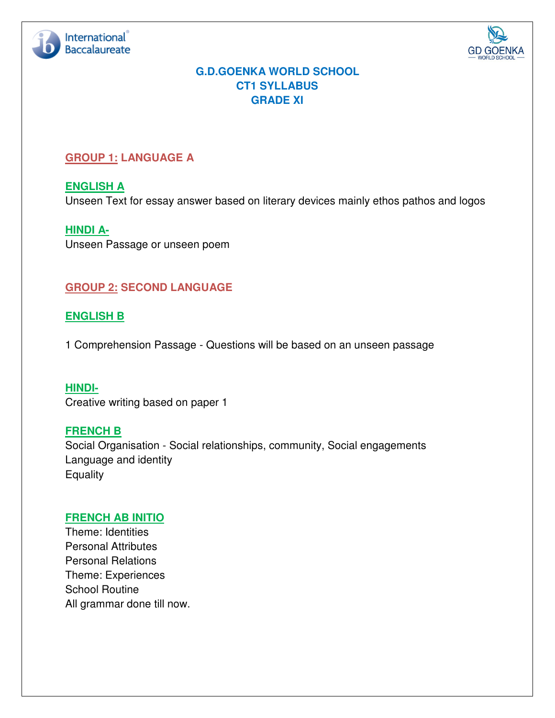



# **G.D.GOENKA WORLD SCHOOL CT1 SYLLABUS GRADE XI**

## **GROUP 1: LANGUAGE A**

**ENGLISH A**  Unseen Text for essay answer based on literary devices mainly ethos pathos and logos

**HINDI A-**Unseen Passage or unseen poem

# **GROUP 2: SECOND LANGUAGE**

## **ENGLISH B**

1 Comprehension Passage - Questions will be based on an unseen passage

**HINDI-**Creative writing based on paper 1

#### **FRENCH B**

Social Organisation - Social relationships, community, Social engagements Language and identity **Equality** 

#### **FRENCH AB INITIO**

Theme: Identities Personal Attributes Personal Relations Theme: Experiences School Routine All grammar done till now.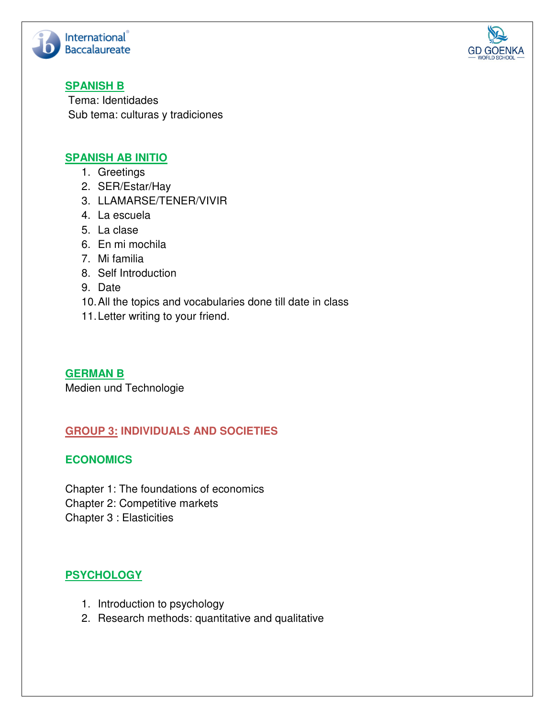



## **SPANISH B**

Tema: Identidades Sub tema: culturas y tradiciones

### **SPANISH AB INITIO**

- 1. Greetings
- 2. SER/Estar/Hay
- 3. LLAMARSE/TENER/VIVIR
- 4. La escuela
- 5. La clase
- 6. En mi mochila
- 7. Mi familia
- 8. Self Introduction
- 9. Date
- 10. All the topics and vocabularies done till date in class
- 11. Letter writing to your friend.

**GERMAN B**  Medien und Technologie

## **GROUP 3: INDIVIDUALS AND SOCIETIES**

#### **ECONOMICS**

Chapter 1: The foundations of economics

- Chapter 2: Competitive markets
- Chapter 3 : Elasticities

# **PSYCHOLOGY**

- 1. Introduction to psychology
- 2. Research methods: quantitative and qualitative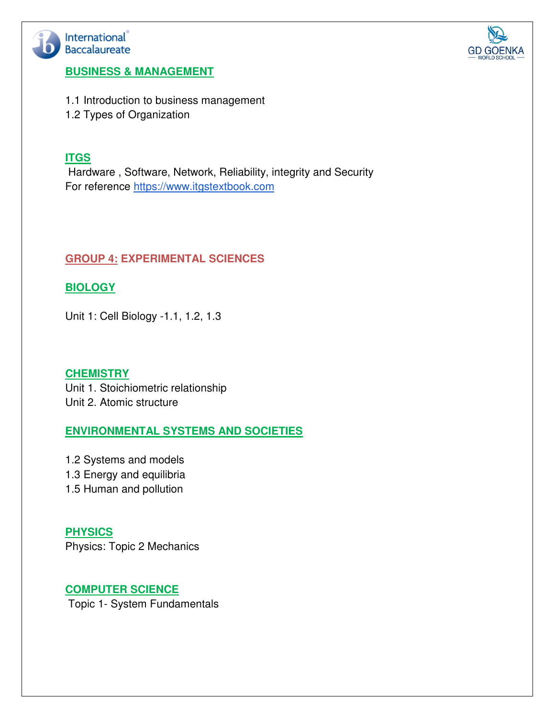



#### **BUSINESS & MANAGEMENT**

1.1 Introduction to business management

1.2 Types of Organization

### **ITGS**

 Hardware , Software, Network, Reliability, integrity and Security For reference https://www.itgstextbook.com

## **GROUP 4: EXPERIMENTAL SCIENCES**

## **BIOLOGY**

Unit 1: Cell Biology -1.1, 1.2, 1.3

**CHEMISTRY**  Unit 1. Stoichiometric relationship Unit 2. Atomic structure

## **ENVIRONMENTAL SYSTEMS AND SOCIETIES**

1.2 Systems and models 1.3 Energy and equilibria 1.5 Human and pollution

**PHYSICS** Physics: Topic 2 Mechanics

## **COMPUTER SCIENCE**

Topic 1- System Fundamentals